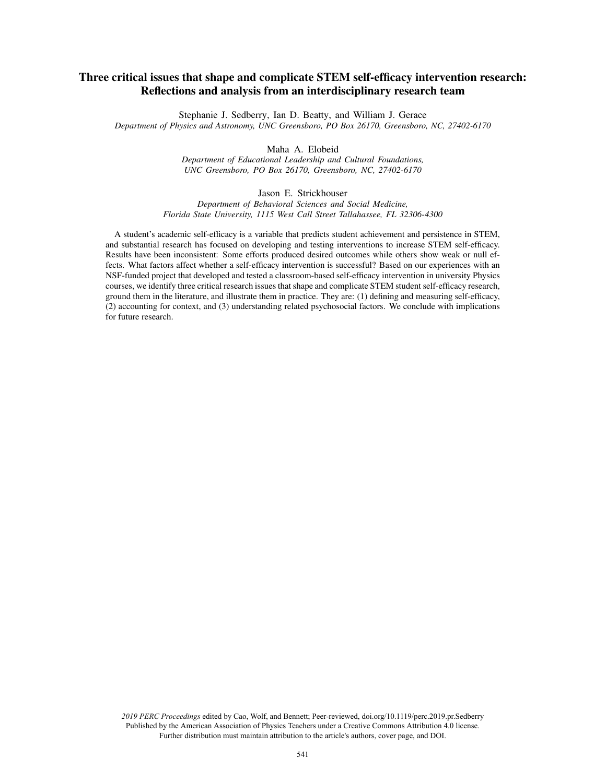# Three critical issues that shape and complicate STEM self-efficacy intervention research: Reflections and analysis from an interdisciplinary research team

Stephanie J. Sedberry, Ian D. Beatty, and William J. Gerace *Department of Physics and Astronomy, UNC Greensboro, PO Box 26170, Greensboro, NC, 27402-6170*

Maha A. Elobeid

*Department of Educational Leadership and Cultural Foundations, UNC Greensboro, PO Box 26170, Greensboro, NC, 27402-6170*

## Jason E. Strickhouser

*Department of Behavioral Sciences and Social Medicine, Florida State University, 1115 West Call Street Tallahassee, FL 32306-4300*

A student's academic self-efficacy is a variable that predicts student achievement and persistence in STEM, and substantial research has focused on developing and testing interventions to increase STEM self-efficacy. Results have been inconsistent: Some efforts produced desired outcomes while others show weak or null effects. What factors affect whether a self-efficacy intervention is successful? Based on our experiences with an NSF-funded project that developed and tested a classroom-based self-efficacy intervention in university Physics courses, we identify three critical research issues that shape and complicate STEM student self-efficacy research, ground them in the literature, and illustrate them in practice. They are: (1) defining and measuring self-efficacy, (2) accounting for context, and (3) understanding related psychosocial factors. We conclude with implications for future research.

*2019 PERC Proceedings* edited by Cao, Wolf, and Bennett; Peer-reviewed, doi.org/10.1119/perc.2019.pr.Sedberry Published by the American Association of Physics Teachers under a Creative Commons Attribution 4.0 license. Further distribution must maintain attribution to the article's authors, cover page, and DOI.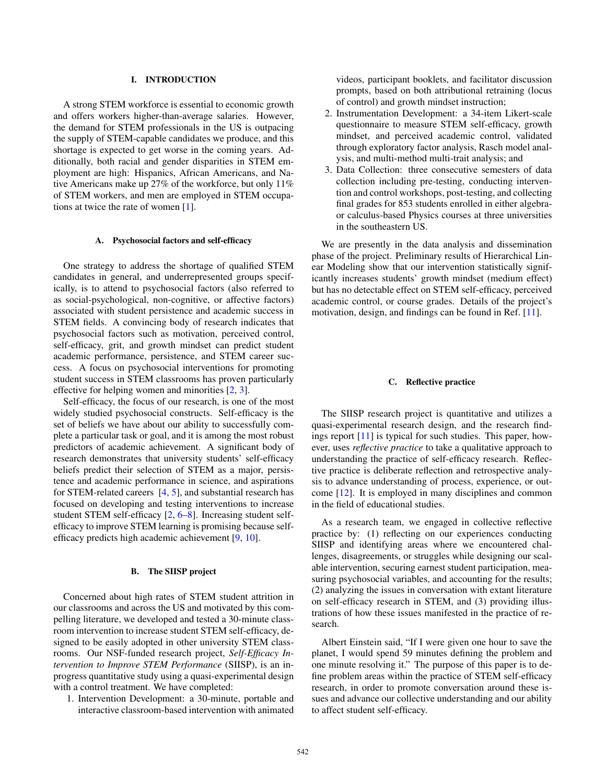# I. INTRODUCTION

A strong STEM workforce is essential to economic growth and offers workers higher-than-average salaries. However, the demand for STEM professionals in the US is outpacing the supply of STEM-capable candidates we produce, and this shortage is expected to get worse in the coming years. Additionally, both racial and gender disparities in STEM employment are high: Hispanics, African Americans, and Native Americans make up 27% of the workforce, but only 11% of STEM workers, and men are employed in STEM occupations at twice the rate of women [1].

# A. Psychosocial factors and self-efficacy

One strategy to address the shortage of qualified STEM candidates in general, and underrepresented groups specifically, is to attend to psychosocial factors (also referred to as social-psychological, non-cognitive, or affective factors) associated with student persistence and academic success in STEM fields. A convincing body of research indicates that psychosocial factors such as motivation, perceived control, self-efficacy, grit, and growth mindset can predict student academic performance, persistence, and STEM career success. A focus on psychosocial interventions for promoting student success in STEM classrooms has proven particularly effective for helping women and minorities [2, 3].

Self-efficacy, the focus of our research, is one of the most widely studied psychosocial constructs. Self-efficacy is the set of beliefs we have about our ability to successfully complete a particular task or goal, and it is among the most robust predictors of academic achievement. A significant body of research demonstrates that university students' self-efficacy beliefs predict their selection of STEM as a major, persistence and academic performance in science, and aspirations for STEM-related careers [4, 5], and substantial research has focused on developing and testing interventions to increase student STEM self-efficacy [2, 6–8]. Increasing student selfefficacy to improve STEM learning is promising because selfefficacy predicts high academic achievement [9, 10].

# B. The SIISP project

Concerned about high rates of STEM student attrition in our classrooms and across the US and motivated by this compelling literature, we developed and tested a 30-minute classroom intervention to increase student STEM self-efficacy, designed to be easily adopted in other university STEM classrooms. Our NSF-funded research project, *Self-Efficacy Intervention to Improve STEM Performance* (SIISP), is an inprogress quantitative study using a quasi-experimental design with a control treatment. We have completed:

1. Intervention Development: a 30-minute, portable and interactive classroom-based intervention with animated

videos, participant booklets, and facilitator discussion prompts, based on both attributional retraining (locus of control) and growth mindset instruction;

- 2. Instrumentation Development: a 34-item Likert-scale questionnaire to measure STEM self-efficacy, growth mindset, and perceived academic control, validated through exploratory factor analysis, Rasch model analysis, and multi-method multi-trait analysis; and
- 3. Data Collection: three consecutive semesters of data collection including pre-testing, conducting intervention and control workshops, post-testing, and collecting final grades for 853 students enrolled in either algebraor calculus-based Physics courses at three universities in the southeastern US.

We are presently in the data analysis and dissemination phase of the project. Preliminary results of Hierarchical Linear Modeling show that our intervention statistically significantly increases students' growth mindset (medium effect) but has no detectable effect on STEM self-efficacy, perceived academic control, or course grades. Details of the project's motivation, design, and findings can be found in Ref. [11].

# C. Reflective practice

The SIISP research project is quantitative and utilizes a quasi-experimental research design, and the research findings report [11] is typical for such studies. This paper, however, uses *reflective practice* to take a qualitative approach to understanding the practice of self-efficacy research. Reflective practice is deliberate reflection and retrospective analysis to advance understanding of process, experience, or outcome [12]. It is employed in many disciplines and common in the field of educational studies.

As a research team, we engaged in collective reflective practice by: (1) reflecting on our experiences conducting SIISP and identifying areas where we encountered challenges, disagreements, or struggles while designing our scalable intervention, securing earnest student participation, measuring psychosocial variables, and accounting for the results; (2) analyzing the issues in conversation with extant literature on self-efficacy research in STEM, and (3) providing illustrations of how these issues manifested in the practice of research.

Albert Einstein said, "If I were given one hour to save the planet, I would spend 59 minutes defining the problem and one minute resolving it." The purpose of this paper is to define problem areas within the practice of STEM self-efficacy research, in order to promote conversation around these issues and advance our collective understanding and our ability to affect student self-efficacy.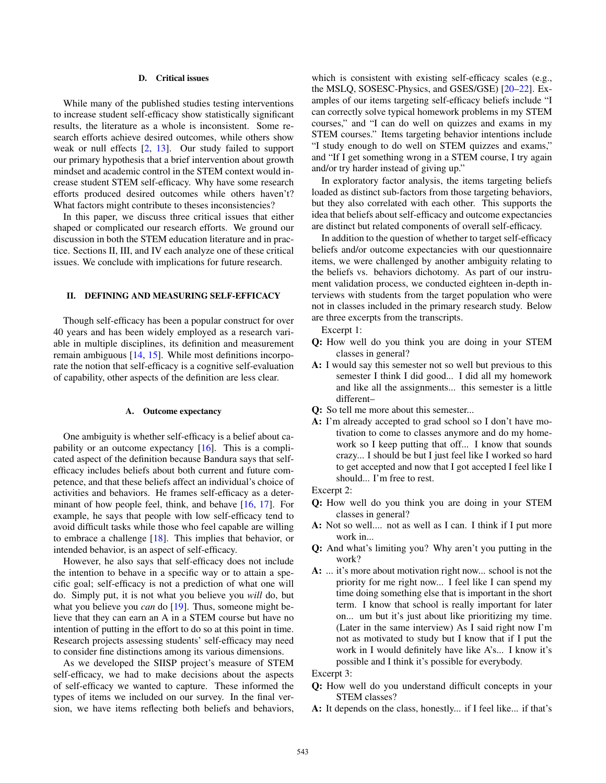#### D. Critical issues

While many of the published studies testing interventions to increase student self-efficacy show statistically significant results, the literature as a whole is inconsistent. Some research efforts achieve desired outcomes, while others show weak or null effects [2, 13]. Our study failed to support our primary hypothesis that a brief intervention about growth mindset and academic control in the STEM context would increase student STEM self-efficacy. Why have some research efforts produced desired outcomes while others haven't? What factors might contribute to theses inconsistencies?

In this paper, we discuss three critical issues that either shaped or complicated our research efforts. We ground our discussion in both the STEM education literature and in practice. Sections II, III, and IV each analyze one of these critical issues. We conclude with implications for future research.

## II. DEFINING AND MEASURING SELF-EFFICACY

Though self-efficacy has been a popular construct for over 40 years and has been widely employed as a research variable in multiple disciplines, its definition and measurement remain ambiguous [14, 15]. While most definitions incorporate the notion that self-efficacy is a cognitive self-evaluation of capability, other aspects of the definition are less clear.

### A. Outcome expectancy

One ambiguity is whether self-efficacy is a belief about capability or an outcome expectancy  $[16]$ . This is a complicated aspect of the definition because Bandura says that selfefficacy includes beliefs about both current and future competence, and that these beliefs affect an individual's choice of activities and behaviors. He frames self-efficacy as a determinant of how people feel, think, and behave [16, 17]. For example, he says that people with low self-efficacy tend to avoid difficult tasks while those who feel capable are willing to embrace a challenge [18]. This implies that behavior, or intended behavior, is an aspect of self-efficacy.

However, he also says that self-efficacy does not include the intention to behave in a specific way or to attain a specific goal; self-efficacy is not a prediction of what one will do. Simply put, it is not what you believe you *will* do, but what you believe you *can* do [19]. Thus, someone might believe that they can earn an A in a STEM course but have no intention of putting in the effort to do so at this point in time. Research projects assessing students' self-efficacy may need to consider fine distinctions among its various dimensions.

As we developed the SIISP project's measure of STEM self-efficacy, we had to make decisions about the aspects of self-efficacy we wanted to capture. These informed the types of items we included on our survey. In the final version, we have items reflecting both beliefs and behaviors, which is consistent with existing self-efficacy scales (e.g., the MSLQ, SOSESC-Physics, and GSES/GSE) [20–22]. Examples of our items targeting self-efficacy beliefs include "I can correctly solve typical homework problems in my STEM courses," and "I can do well on quizzes and exams in my STEM courses." Items targeting behavior intentions include "I study enough to do well on STEM quizzes and exams," and "If I get something wrong in a STEM course, I try again and/or try harder instead of giving up."

In exploratory factor analysis, the items targeting beliefs loaded as distinct sub-factors from those targeting behaviors, but they also correlated with each other. This supports the idea that beliefs about self-efficacy and outcome expectancies are distinct but related components of overall self-efficacy.

In addition to the question of whether to target self-efficacy beliefs and/or outcome expectancies with our questionnaire items, we were challenged by another ambiguity relating to the beliefs vs. behaviors dichotomy. As part of our instrument validation process, we conducted eighteen in-depth interviews with students from the target population who were not in classes included in the primary research study. Below are three excerpts from the transcripts.

Excerpt 1:

- Q: How well do you think you are doing in your STEM classes in general?
- A: I would say this semester not so well but previous to this semester I think I did good... I did all my homework and like all the assignments... this semester is a little different–
- Q: So tell me more about this semester...
- A: I'm already accepted to grad school so I don't have motivation to come to classes anymore and do my homework so I keep putting that off... I know that sounds crazy... I should be but I just feel like I worked so hard to get accepted and now that I got accepted I feel like I should... I'm free to rest.

Excerpt 2:

- Q: How well do you think you are doing in your STEM classes in general?
- A: Not so well.... not as well as I can. I think if I put more work in...
- Q: And what's limiting you? Why aren't you putting in the work?
- A: ... it's more about motivation right now... school is not the priority for me right now... I feel like I can spend my time doing something else that is important in the short term. I know that school is really important for later on... um but it's just about like prioritizing my time. (Later in the same interview) As I said right now I'm not as motivated to study but I know that if I put the work in I would definitely have like A's... I know it's possible and I think it's possible for everybody.

Excerpt 3:

- Q: How well do you understand difficult concepts in your STEM classes?
- A: It depends on the class, honestly... if I feel like... if that's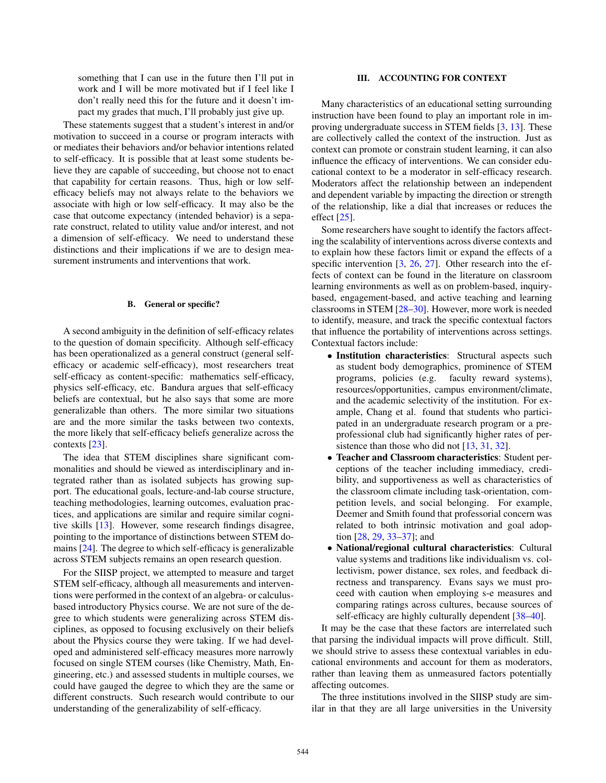something that I can use in the future then I'll put in work and I will be more motivated but if I feel like I don't really need this for the future and it doesn't impact my grades that much, I'll probably just give up.

These statements suggest that a student's interest in and/or motivation to succeed in a course or program interacts with or mediates their behaviors and/or behavior intentions related to self-efficacy. It is possible that at least some students believe they are capable of succeeding, but choose not to enact that capability for certain reasons. Thus, high or low selfefficacy beliefs may not always relate to the behaviors we associate with high or low self-efficacy. It may also be the case that outcome expectancy (intended behavior) is a separate construct, related to utility value and/or interest, and not a dimension of self-efficacy. We need to understand these distinctions and their implications if we are to design measurement instruments and interventions that work.

## B. General or specific?

A second ambiguity in the definition of self-efficacy relates to the question of domain specificity. Although self-efficacy has been operationalized as a general construct (general selfefficacy or academic self-efficacy), most researchers treat self-efficacy as content-specific: mathematics self-efficacy, physics self-efficacy, etc. Bandura argues that self-efficacy beliefs are contextual, but he also says that some are more generalizable than others. The more similar two situations are and the more similar the tasks between two contexts, the more likely that self-efficacy beliefs generalize across the contexts [23].

The idea that STEM disciplines share significant commonalities and should be viewed as interdisciplinary and integrated rather than as isolated subjects has growing support. The educational goals, lecture-and-lab course structure, teaching methodologies, learning outcomes, evaluation practices, and applications are similar and require similar cognitive skills [13]. However, some research findings disagree, pointing to the importance of distinctions between STEM domains [24]. The degree to which self-efficacy is generalizable across STEM subjects remains an open research question.

For the SIISP project, we attempted to measure and target STEM self-efficacy, although all measurements and interventions were performed in the context of an algebra- or calculusbased introductory Physics course. We are not sure of the degree to which students were generalizing across STEM disciplines, as opposed to focusing exclusively on their beliefs about the Physics course they were taking. If we had developed and administered self-efficacy measures more narrowly focused on single STEM courses (like Chemistry, Math, Engineering, etc.) and assessed students in multiple courses, we could have gauged the degree to which they are the same or different constructs. Such research would contribute to our understanding of the generalizability of self-efficacy.

## III. ACCOUNTING FOR CONTEXT

Many characteristics of an educational setting surrounding instruction have been found to play an important role in improving undergraduate success in STEM fields [3, 13]. These are collectively called the context of the instruction. Just as context can promote or constrain student learning, it can also influence the efficacy of interventions. We can consider educational context to be a moderator in self-efficacy research. Moderators affect the relationship between an independent and dependent variable by impacting the direction or strength of the relationship, like a dial that increases or reduces the effect [25].

Some researchers have sought to identify the factors affecting the scalability of interventions across diverse contexts and to explain how these factors limit or expand the effects of a specific intervention [3, 26, 27]. Other research into the effects of context can be found in the literature on classroom learning environments as well as on problem-based, inquirybased, engagement-based, and active teaching and learning classrooms in STEM [28–30]. However, more work is needed to identify, measure, and track the specific contextual factors that influence the portability of interventions across settings. Contextual factors include:

- Institution characteristics: Structural aspects such as student body demographics, prominence of STEM programs, policies (e.g. faculty reward systems), resources/opportunities, campus environment/climate, and the academic selectivity of the institution. For example, Chang et al. found that students who participated in an undergraduate research program or a preprofessional club had significantly higher rates of persistence than those who did not [13, 31, 32].
- Teacher and Classroom characteristics: Student perceptions of the teacher including immediacy, credibility, and supportiveness as well as characteristics of the classroom climate including task-orientation, competition levels, and social belonging. For example, Deemer and Smith found that professorial concern was related to both intrinsic motivation and goal adoption [28, 29, 33–37]; and
- National/regional cultural characteristics: Cultural value systems and traditions like individualism vs. collectivism, power distance, sex roles, and feedback directness and transparency. Evans says we must proceed with caution when employing s-e measures and comparing ratings across cultures, because sources of self-efficacy are highly culturally dependent [38–40].

It may be the case that these factors are interrelated such that parsing the individual impacts will prove difficult. Still, we should strive to assess these contextual variables in educational environments and account for them as moderators, rather than leaving them as unmeasured factors potentially affecting outcomes.

The three institutions involved in the SIISP study are similar in that they are all large universities in the University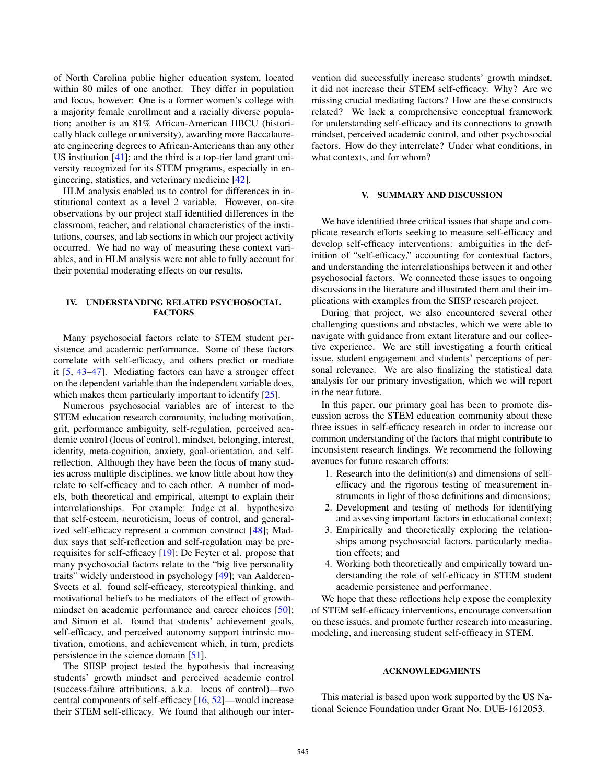of North Carolina public higher education system, located within 80 miles of one another. They differ in population and focus, however: One is a former women's college with a majority female enrollment and a racially diverse population; another is an 81% African-American HBCU (historically black college or university), awarding more Baccalaureate engineering degrees to African-Americans than any other US institution [41]; and the third is a top-tier land grant university recognized for its STEM programs, especially in engineering, statistics, and veterinary medicine [42].

HLM analysis enabled us to control for differences in institutional context as a level 2 variable. However, on-site observations by our project staff identified differences in the classroom, teacher, and relational characteristics of the institutions, courses, and lab sections in which our project activity occurred. We had no way of measuring these context variables, and in HLM analysis were not able to fully account for their potential moderating effects on our results.

## IV. UNDERSTANDING RELATED PSYCHOSOCIAL **FACTORS**

Many psychosocial factors relate to STEM student persistence and academic performance. Some of these factors correlate with self-efficacy, and others predict or mediate it [5, 43–47]. Mediating factors can have a stronger effect on the dependent variable than the independent variable does, which makes them particularly important to identify [25].

Numerous psychosocial variables are of interest to the STEM education research community, including motivation, grit, performance ambiguity, self-regulation, perceived academic control (locus of control), mindset, belonging, interest, identity, meta-cognition, anxiety, goal-orientation, and selfreflection. Although they have been the focus of many studies across multiple disciplines, we know little about how they relate to self-efficacy and to each other. A number of models, both theoretical and empirical, attempt to explain their interrelationships. For example: Judge et al. hypothesize that self-esteem, neuroticism, locus of control, and generalized self-efficacy represent a common construct [48]; Maddux says that self-reflection and self-regulation may be prerequisites for self-efficacy [19]; De Feyter et al. propose that many psychosocial factors relate to the "big five personality traits" widely understood in psychology [49]; van Aalderen-Sveets et al. found self-efficacy, stereotypical thinking, and motivational beliefs to be mediators of the effect of growthmindset on academic performance and career choices [50]; and Simon et al. found that students' achievement goals, self-efficacy, and perceived autonomy support intrinsic motivation, emotions, and achievement which, in turn, predicts persistence in the science domain [51].

The SIISP project tested the hypothesis that increasing students' growth mindset and perceived academic control (success-failure attributions, a.k.a. locus of control)—two central components of self-efficacy [16, 52]—would increase their STEM self-efficacy. We found that although our intervention did successfully increase students' growth mindset, it did not increase their STEM self-efficacy. Why? Are we missing crucial mediating factors? How are these constructs related? We lack a comprehensive conceptual framework for understanding self-efficacy and its connections to growth mindset, perceived academic control, and other psychosocial factors. How do they interrelate? Under what conditions, in what contexts, and for whom?

#### V. SUMMARY AND DISCUSSION

We have identified three critical issues that shape and complicate research efforts seeking to measure self-efficacy and develop self-efficacy interventions: ambiguities in the definition of "self-efficacy," accounting for contextual factors, and understanding the interrelationships between it and other psychosocial factors. We connected these issues to ongoing discussions in the literature and illustrated them and their implications with examples from the SIISP research project.

During that project, we also encountered several other challenging questions and obstacles, which we were able to navigate with guidance from extant literature and our collective experience. We are still investigating a fourth critical issue, student engagement and students' perceptions of personal relevance. We are also finalizing the statistical data analysis for our primary investigation, which we will report in the near future.

In this paper, our primary goal has been to promote discussion across the STEM education community about these three issues in self-efficacy research in order to increase our common understanding of the factors that might contribute to inconsistent research findings. We recommend the following avenues for future research efforts:

- 1. Research into the definition(s) and dimensions of selfefficacy and the rigorous testing of measurement instruments in light of those definitions and dimensions;
- 2. Development and testing of methods for identifying and assessing important factors in educational context;
- 3. Empirically and theoretically exploring the relationships among psychosocial factors, particularly mediation effects; and
- 4. Working both theoretically and empirically toward understanding the role of self-efficacy in STEM student academic persistence and performance.

We hope that these reflections help expose the complexity of STEM self-efficacy interventions, encourage conversation on these issues, and promote further research into measuring, modeling, and increasing student self-efficacy in STEM.

### ACKNOWLEDGMENTS

This material is based upon work supported by the US National Science Foundation under Grant No. DUE-1612053.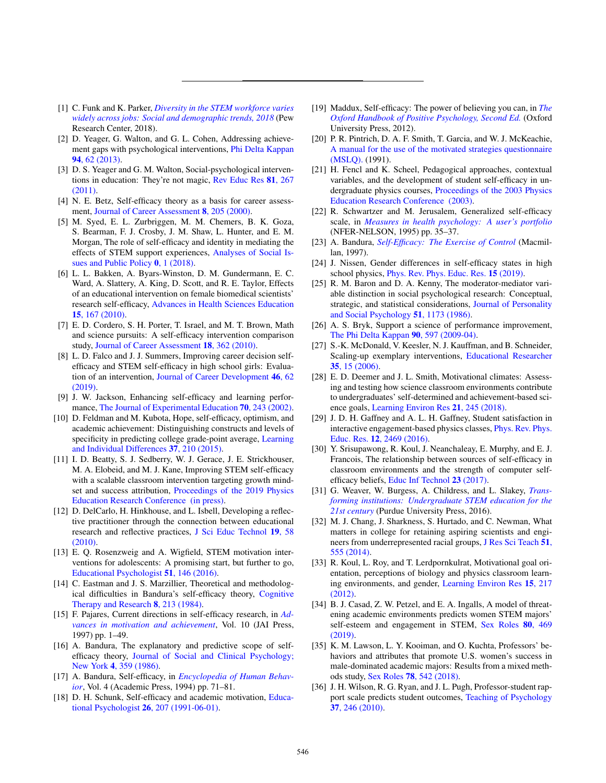- [1] C. Funk and K. Parker, *[Diversity in the STEM workforce varies](https://www.pewsocialtrends.org/2018/01/09/diversity-in-the-stem-workforce-varies-widely-across-jobs/) [widely across jobs: Social and demographic trends, 2018](https://www.pewsocialtrends.org/2018/01/09/diversity-in-the-stem-workforce-varies-widely-across-jobs/)* (Pew Research Center, 2018).
- [2] D. Yeager, G. Walton, and G. L. Cohen, Addressing achievement gaps with psychological interventions, [Phi Delta Kappan](http://www.jstor.org/stable/23611675) 94[, 62 \(2013\).](http://www.jstor.org/stable/23611675)
- [3] D. S. Yeager and G. M. Walton, Social-psychological interventions in education: They're not magic, [Rev Educ Res](http://www.jstor.org/stable/23014370) 81, 267 [\(2011\).](http://www.jstor.org/stable/23014370)
- [4] N. E. Betz, Self-efficacy theory as a basis for career assessment, [Journal of Career Assessment](https://doi.org/10.1177/106907270000800301) 8, 205 (2000).
- [5] M. Syed, E. L. Zurbriggen, M. M. Chemers, B. K. Goza, S. Bearman, F. J. Crosby, J. M. Shaw, L. Hunter, and E. M. Morgan, The role of self-efficacy and identity in mediating the effects of STEM support experiences, [Analyses of Social Is](https://doi.org/10.1111/asap.12170)[sues and Public Policy](https://doi.org/10.1111/asap.12170) 0, 1 (2018).
- [6] L. L. Bakken, A. Byars-Winston, D. M. Gundermann, E. C. Ward, A. Slattery, A. King, D. Scott, and R. E. Taylor, Effects of an educational intervention on female biomedical scientists' research self-efficacy, [Advances in Health Sciences Education](https://doi.org/10.1007/s10459-009-9190-2) 15[, 167 \(2010\).](https://doi.org/10.1007/s10459-009-9190-2)
- [7] E. D. Cordero, S. H. Porter, T. Israel, and M. T. Brown, Math and science pursuits: A self-efficacy intervention comparison study, [Journal of Career Assessment](https://doi.org/10.1177/1069072710374572) 18, 362 (2010).
- [8] L. D. Falco and J. J. Summers, Improving career decision selfefficacy and STEM self-efficacy in high school girls: Evaluation of an intervention, [Journal of Career Development](https://doi.org/10.1177/0894845317721651) 46, 62 [\(2019\).](https://doi.org/10.1177/0894845317721651)
- [9] J. W. Jackson, Enhancing self-efficacy and learning performance, [The Journal of Experimental Education](https://doi.org/10.1080/00220970209599508) 70, 243 (2002).
- [10] D. Feldman and M. Kubota, Hope, self-efficacy, optimism, and academic achievement: Distinguishing constructs and levels of specificity in predicting college grade-point average, [Learning](https://reader.elsevier.com/reader/sd/pii/S1041608014002349?token=5E4298A65BFF9B6DD267FF35C656AFFD6B5DF3EEE1E9295AEBF028D56F30F6A6638E806FA5A6E7E1BEFBC96A863EB1C1) [and Individual Differences](https://reader.elsevier.com/reader/sd/pii/S1041608014002349?token=5E4298A65BFF9B6DD267FF35C656AFFD6B5DF3EEE1E9295AEBF028D56F30F6A6638E806FA5A6E7E1BEFBC96A863EB1C1) 37, 210 (2015).
- [11] I. D. Beatty, S. J. Sedberry, W. J. Gerace, J. E. Strickhouser, M. A. Elobeid, and M. J. Kane, Improving STEM self-efficacy with a scalable classroom intervention targeting growth mindset and success attribution, [Proceedings of the 2019 Physics](https://www.compadre.org/per/perc/Proceedings.cfm) [Education Research Conference \(in press\).](https://www.compadre.org/per/perc/Proceedings.cfm)
- [12] D. DelCarlo, H. Hinkhouse, and L. Isbell, Developing a reflective practitioner through the connection between educational research and reflective practices, [J Sci Educ Technol](https://link.springer.com/article/10.1007/s10956-009-9178-y) 19, 58 [\(2010\).](https://link.springer.com/article/10.1007/s10956-009-9178-y)
- [13] E. Q. Rosenzweig and A. Wigfield, STEM motivation interventions for adolescents: A promising start, but further to go, [Educational Psychologist](https://www.tandfonline.com/doi/full/10.1080/00461520.2016.1154792) 51, 146 (2016).
- [14] C. Eastman and J. S. Marzillier, Theoretical and methodological difficulties in Bandura's self-efficacy theory, [Cognitive](https://doi.org/10.1007/BF01172994) [Therapy and Research](https://doi.org/10.1007/BF01172994) 8, 213 (1984).
- [15] F. Pajares, Current directions in self-efficacy research, in *[Ad](https://www.uky.edu/~eushe2/Pajares/effchapter.html)[vances in motivation and achievement](https://www.uky.edu/~eushe2/Pajares/effchapter.html)*, Vol. 10 (JAI Press, 1997) pp. 1–49.
- [16] A. Bandura, The explanatory and predictive scope of selfefficacy theory, [Journal of Social and Clinical Psychology;](https://search.proquest.com/docview/848841612/abstract/252E1243C3324D58PQ/1) New York 4[, 359 \(1986\).](https://search.proquest.com/docview/848841612/abstract/252E1243C3324D58PQ/1)
- [17] A. Bandura, Self-efficacy, in *[Encyclopedia of Human Behav](http://www.uky.edu/~eushe2/Bandura/Bandura1994EHB.pdf)[ior](http://www.uky.edu/~eushe2/Bandura/Bandura1994EHB.pdf)*, Vol. 4 (Academic Press, 1994) pp. 71–81.
- [18] D. H. Schunk, Self-efficacy and academic motivation, [Educa](https://doi.org/10.1080/00461520.1991.9653133)tional Psychologist 26[, 207 \(1991-06-01\).](https://doi.org/10.1080/00461520.1991.9653133)
- [19] Maddux, Self-efficacy: The power of believing you can, in *[The](https://www.oxfordhandbooks.com/view/10.1093/oxfordhb/9780199396511.001.0001/oxfordhb-9780199396511-e-26) [Oxford Handbook of Positive Psychology, Second Ed.](https://www.oxfordhandbooks.com/view/10.1093/oxfordhb/9780199396511.001.0001/oxfordhb-9780199396511-e-26)* (Oxford University Press, 2012).
- [20] P. R. Pintrich, D. A. F. Smith, T. Garcia, and W. J. McKeachie, [A manual for the use of the motivated strategies questionnaire](https://eric.ed.gov/?id=ED338122) [\(MSLQ\).](https://eric.ed.gov/?id=ED338122) (1991).
- [21] H. Fencl and K. Scheel, Pedagogical approaches, contextual variables, and the development of student self-efficacy in undergraduate physics courses, [Proceedings of the 2003 Physics](https://aip.scitation.org/doi/10.1063/1.1807282) [Education Research Conference \(2003\).](https://aip.scitation.org/doi/10.1063/1.1807282)
- [22] R. Schwartzer and M. Jerusalem, Generalized self-efficacy scale, in *[Measures in health psychology: A user's portfolio](http://userpage.fu-berlin.de/~health/engscal.htm)* (NFER-NELSON, 1995) pp. 35–37.
- [23] A. Bandura, *[Self-Efficacy: The Exercise of Control](https://psycnet.apa.org/record/1997-08589-000)* (Macmillan, 1997).
- [24] J. Nissen, Gender differences in self-efficacy states in high school physics, [Phys. Rev. Phys. Educ. Res.](https://journals.aps.org/prper/abstract/10.1103/PhysRevPhysEducRes.15.013102) 15 (2019).
- [25] R. M. Baron and D. A. Kenny, The moderator-mediator variable distinction in social psychological research: Conceptual, strategic, and statistical considerations, [Journal of Personality](https://www-ncbi-nlm-nih-gov.libproxy.uncg.edu/pubmed/3806354) [and Social Psychology](https://www-ncbi-nlm-nih-gov.libproxy.uncg.edu/pubmed/3806354) 51, 1173 (1986).
- [26] A. S. Bryk, Support a science of performance improvement, [The Phi Delta Kappan](https://journals.sagepub.com/doi/pdf/10.1177/003172170909000815) 90, 597 (2009-04).
- [27] S.-K. McDonald, V. Keesler, N. J. Kauffman, and B. Schneider, Scaling-up exemplary interventions, [Educational Researcher](https://doi.org/10.3102/0013189X035003015) 35[, 15 \(2006\).](https://doi.org/10.3102/0013189X035003015)
- [28] E. D. Deemer and J. L. Smith, Motivational climates: Assessing and testing how science classroom environments contribute to undergraduates' self-determined and achievement-based science goals, [Learning Environ Res](https://doi.org/10.1007/s10984-017-9252-y) 21, 245 (2018).
- [29] J. D. H. Gaffney and A. L. H. Gaffney, Student satisfaction in interactive engagement-based physics classes, [Phys. Rev. Phys.](https://journals.aps.org/prper/abstract/10.1103/PhysRevPhysEducRes.12.020125) Educ. Res. 12[, 2469 \(2016\).](https://journals.aps.org/prper/abstract/10.1103/PhysRevPhysEducRes.12.020125)
- [30] Y. Srisupawong, R. Koul, J. Neanchaleay, E. Murphy, and E. J. Francois, The relationship between sources of self-efficacy in classroom environments and the strength of computer selfefficacy beliefs, [Educ Inf Technol](https://link-springer-com.libproxy.uncg.edu/article/10.1007/s10639-017-9630-1) 23 (2017).
- [31] G. Weaver, W. Burgess, A. Childress, and L. Slakey, *[Trans](https://uncg.on.worldcat.org/oclc/931590468)[forming institutions: Undergraduate STEM education for the](https://uncg.on.worldcat.org/oclc/931590468) [21st century](https://uncg.on.worldcat.org/oclc/931590468)* (Purdue University Press, 2016).
- [32] M. J. Chang, J. Sharkness, S. Hurtado, and C. Newman, What matters in college for retaining aspiring scientists and engineers from underrepresented racial groups, [J Res Sci Teach](https://doi.org/10.1002/tea.21146) 51, [555 \(2014\).](https://doi.org/10.1002/tea.21146)
- [33] R. Koul, L. Roy, and T. Lerdpornkulrat, Motivational goal orientation, perceptions of biology and physics classroom learning environments, and gender, [Learning Environ Res](https://doi.org/10.1007/s10984-012-9111-9) 15, 217 [\(2012\).](https://doi.org/10.1007/s10984-012-9111-9)
- [34] B. J. Casad, Z. W. Petzel, and E. A. Ingalls, A model of threatening academic environments predicts women STEM majors' self-esteem and engagement in STEM, [Sex Roles](https://doi.org/10.1007/s11199-018-0942-4) 80, 469 [\(2019\).](https://doi.org/10.1007/s11199-018-0942-4)
- [35] K. M. Lawson, L. Y. Kooiman, and O. Kuchta, Professors' behaviors and attributes that promote U.S. women's success in male-dominated academic majors: Results from a mixed methods study, Sex Roles 78[, 542 \(2018\).](https://doi.org/10.1007/s11199-017-0809-0)
- [36] J. H. Wilson, R. G. Ryan, and J. L. Pugh, Professor-student rapport scale predicts student outcomes, [Teaching of Psychology](https://doi.org/10.1080/00986283.2010.510976) 37[, 246 \(2010\).](https://doi.org/10.1080/00986283.2010.510976)